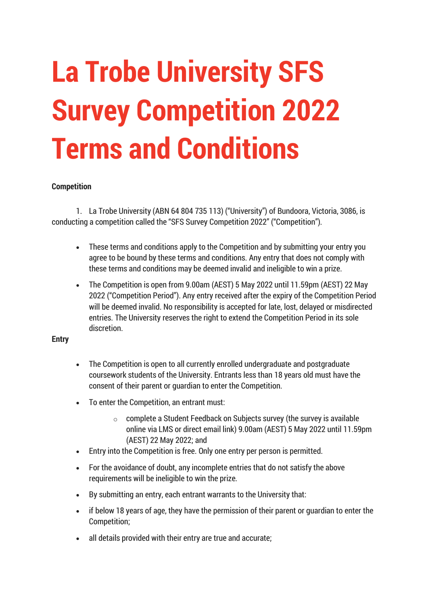# **La Trobe University SFS Survey Competition 2022 Terms and Conditions**

# **Competition**

1. La Trobe University (ABN 64 804 735 113) ("University") of Bundoora, Victoria, 3086, is conducting a competition called the "SFS Survey Competition 2022" ("Competition").

- These terms and conditions apply to the Competition and by submitting your entry you agree to be bound by these terms and conditions. Any entry that does not comply with these terms and conditions may be deemed invalid and ineligible to win a prize.
- The Competition is open from 9.00am (AEST) 5 May 2022 until 11.59pm (AEST) 22 May 2022 ("Competition Period"). Any entry received after the expiry of the Competition Period will be deemed invalid. No responsibility is accepted for late, lost, delayed or misdirected entries. The University reserves the right to extend the Competition Period in its sole discretion.

### **Entry**

- The Competition is open to all currently enrolled undergraduate and postgraduate coursework students of the University. Entrants less than 18 years old must have the consent of their parent or guardian to enter the Competition.
- To enter the Competition, an entrant must:
	- $\circ$  complete a Student Feedback on Subjects survey (the survey is available online via LMS or direct email link) 9.00am (AEST) 5 May 2022 until 11.59pm (AEST) 22 May 2022; and
- Entry into the Competition is free. Only one entry per person is permitted.
- For the avoidance of doubt, any incomplete entries that do not satisfy the above requirements will be ineligible to win the prize.
- By submitting an entry, each entrant warrants to the University that:
- if below 18 years of age, they have the permission of their parent or guardian to enter the Competition;
- all details provided with their entry are true and accurate;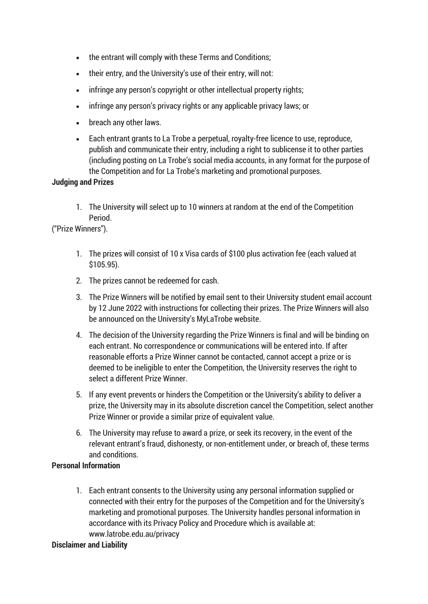- the entrant will comply with these Terms and Conditions;
- their entry, and the University's use of their entry, will not:
- infringe any person's copyright or other intellectual property rights;
- infringe any person's privacy rights or any applicable privacy laws; or
- breach any other laws.
- Each entrant grants to La Trobe a perpetual, royalty-free licence to use, reproduce, publish and communicate their entry, including a right to sublicense it to other parties (including posting on La Trobe's social media accounts, in any format for the purpose of the Competition and for La Trobe's marketing and promotional purposes.

## **Judging and Prizes**

1. The University will select up to 10 winners at random at the end of the Competition Period.

("Prize Winners").

- 1. The prizes will consist of 10 x Visa cards of \$100 plus activation fee (each valued at \$105.95).
- 2. The prizes cannot be redeemed for cash.
- 3. The Prize Winners will be notified by email sent to their University student email account by 12 June 2022 with instructions for collecting their prizes. The Prize Winners will also be announced on the University's MyLaTrobe website.
- 4. The decision of the University regarding the Prize Winners is final and will be binding on each entrant. No correspondence or communications will be entered into. If after reasonable efforts a Prize Winner cannot be contacted, cannot accept a prize or is deemed to be ineligible to enter the Competition, the University reserves the right to select a different Prize Winner.
- 5. If any event prevents or hinders the Competition or the University's ability to deliver a prize, the University may in its absolute discretion cancel the Competition, select another Prize Winner or provide a similar prize of equivalent value.
- 6. The University may refuse to award a prize, or seek its recovery, in the event of the relevant entrant's fraud, dishonesty, or non-entitlement under, or breach of, these terms and conditions.

## **Personal Information**

1. Each entrant consents to the University using any personal information supplied or connected with their entry for the purposes of the Competition and for the University's marketing and promotional purposes. The University handles personal information in accordance with its Privacy Policy and Procedure which is available at: www.latrobe.edu.au/privacy

### **Disclaimer and Liability**